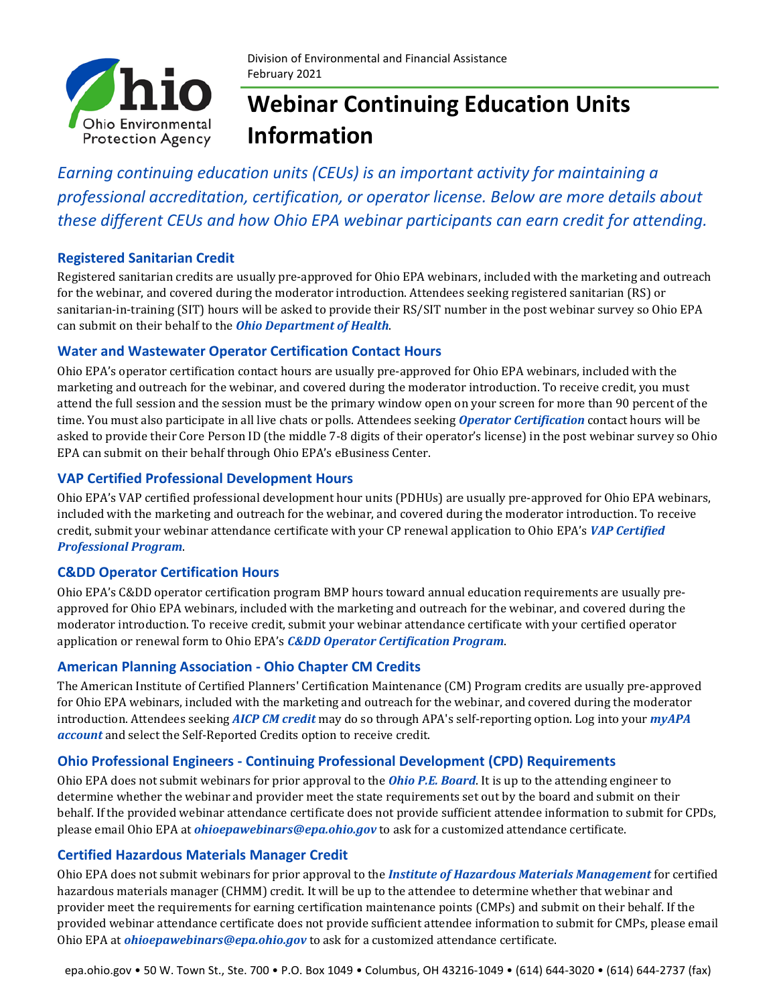

Division of Environmental and Financial Assistance February 2021

# **Webinar Continuing Education Units Information**

*Earning continuing education units (CEUs) is an important activity for maintaining a professional accreditation, certification, or operator license. Below are more details about these different CEUs and how Ohio EPA webinar participants can earn credit for attending.* 

#### **Registered Sanitarian Credit**

Registered sanitarian credits are usually pre-approved for Ohio EPA webinars, included with the marketing and outreach for the webinar, and covered during the moderator introduction. Attendees seeking registered sanitarian (RS) or sanitarian-in-training (SIT) hours will be asked to provide their RS/SIT number in the post webinar survey so Ohio EPA can submit on their behalf to the *[Ohio Department of Health](https://odh.ohio.gov/wps/portal/gov/odh/know-our-programs/sanitarian-registration/welcome)*.

#### **Water and Wastewater Operator Certification Contact Hours**

Ohio EPA's operator certification contact hours are usually pre-approved for Ohio EPA webinars, included with the marketing and outreach for the webinar, and covered during the moderator introduction. To receive credit, you must attend the full session and the session must be the primary window open on your screen for more than 90 percent of the time. You must also participate in all live chats or polls. Attendees seeking *[Operator Certification](https://epa.ohio.gov/ddagw/opcert)* contact hours will be asked to provide their Core Person ID (the middle 7-8 digits of their operator's license) in the post webinar survey so Ohio EPA can submit on their behalf through Ohio EPA's eBusiness Center.

#### **VAP Certified Professional Development Hours**

Ohio EPA's VAP certified professional development hour units (PDHUs) are usually pre-approved for Ohio EPA webinars, included with the marketing and outreach for the webinar, and covered during the moderator introduction. To receive credit, submit your webinar attendance certificate with your CP renewal application to Ohio EPA's *[VAP Certified](https://epa.ohio.gov/derr/volunt/certification/cpapp.aspx)  [Professional Program](https://epa.ohio.gov/derr/volunt/certification/cpapp.aspx)*.

#### **C&DD Operator Certification Hours**

Ohio EPA's C&DD operator certification program BMP hours toward annual education requirements are usually preapproved for Ohio EPA webinars, included with the marketing and outreach for the webinar, and covered during the moderator introduction. To receive credit, submit your webinar attendance certificate with your certified operator application or renewal form to Ohio EPA's *[C&DD Operator Certification Program](https://epa.ohio.gov/dmwm/Home/C-DD#114185239-operator-certification)*.

#### **American Planning Association - Ohio Chapter CM Credits**

The American Institute of Certified Planners' Certification Maintenance (CM) Program credits are usually pre-approved for Ohio EPA webinars, included with the marketing and outreach for the webinar, and covered during the moderator introduction. Attendees seeking *[AICP CM credit](http://www.ohioplanning.org/aws/APAOH/pt/sp/professional-development)* may do so through APA's self-reporting option. Log into your *[myAPA](https://www.planning.org/login/?next=/myapa/)  [account](https://www.planning.org/login/?next=/myapa/)* and select the Self-Reported Credits option to receive credit.

#### **Ohio Professional Engineers - Continuing Professional Development (CPD) Requirements**

Ohio EPA does not submit webinars for prior approval to the *Ohio [P.E. Board](https://www.peps.ohio.gov/IndividualLicensing/ContinuingEd/AcceptableHours.aspx)*. It is up to the attending engineer to determine whether the webinar and provider meet the state requirements set out by the board and submit on their behalf. If the provided webinar attendance certificate does not provide sufficient attendee information to submit for CPDs, please email Ohio EPA at *[ohioepawebinars@epa.ohio.gov](https://ohiodas.sharepoint.com/sites/EPA-SO/PIC/Shared%20Documents/Templates/Other/ohioepawebinars@epa.ohio.gov)* to ask for a customized attendance certificate.

#### **Certified Hazardous Materials Manager Credit**

Ohio EPA does not submit webinars for prior approval to the *[Institute of Hazardous Materials Management](https://ihmm.org/credentials/#recertification)* for certified hazardous materials manager (CHMM) credit. It will be up to the attendee to determine whether that webinar and provider meet the requirements for earning certification maintenance points (CMPs) and submit on their behalf. If the provided webinar attendance certificate does not provide sufficient attendee information to submit for CMPs, please email Ohio EPA at *[ohioepawebinars@epa.ohio.gov](https://ohiodas.sharepoint.com/sites/EPA-SO/PIC/Shared%20Documents/Templates/Other/ohioepawebinars@epa.ohio.gov)* to ask for a customized attendance certificate.